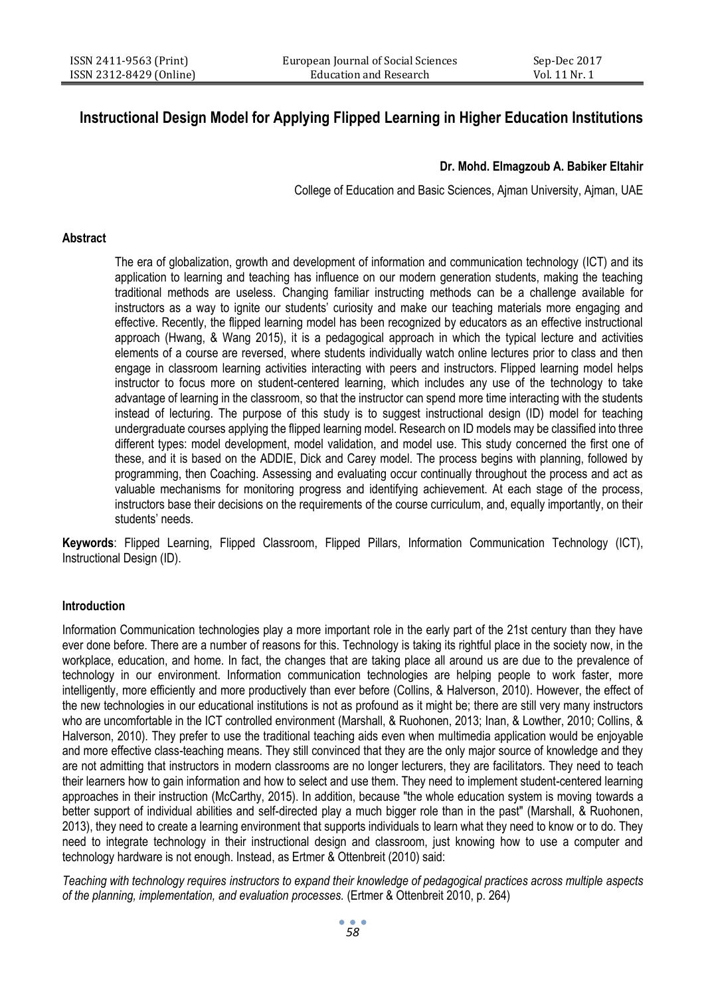# **Instructional Design Model for Applying Flipped Learning in Higher Education Institutions**

## **Dr. Mohd. Elmagzoub A. Babiker Eltahir**

College of Education and Basic Sciences, Ajman University, Ajman, UAE

#### **Abstract**

The era of globalization, growth and development of information and communication technology (ICT) and its application to learning and teaching has influence on our modern generation students, making the teaching traditional methods are useless. Changing familiar instructing methods can be a challenge available for instructors as a way to ignite our students' curiosity and make our teaching materials more engaging and effective. Recently, the flipped learning model has been recognized by educators as an effective instructional approach (Hwang, & Wang 2015), it is a pedagogical approach in which the typical lecture and activities elements of a course are reversed, where students individually watch online lectures prior to class and then engage in classroom learning activities interacting with peers and instructors. Flipped learning model helps instructor to focus more on student-centered learning, which includes any use of the technology to take advantage of learning in the classroom, so that the instructor can spend more time interacting with the students instead of lecturing. The purpose of this study is to suggest instructional design (ID) model for teaching undergraduate courses applying the flipped learning model. Research on ID models may be classified into three different types: model development, model validation, and model use. This study concerned the first one of these, and it is based on the ADDIE, Dick and Carey model. The process begins with planning, followed by programming, then Coaching. Assessing and evaluating occur continually throughout the process and act as valuable mechanisms for monitoring progress and identifying achievement. At each stage of the process, instructors base their decisions on the requirements of the course curriculum, and, equally importantly, on their students' needs.

**Keywords**: Flipped Learning, Flipped Classroom, Flipped Pillars, Information Communication Technology (ICT), Instructional Design (ID).

## **Introduction**

Information Communication technologies play a more important role in the early part of the 21st century than they have ever done before. There are a number of reasons for this. Technology is taking its rightful place in the society now, in the workplace, education, and home. In fact, the changes that are taking place all around us are due to the prevalence of technology in our environment. Information communication technologies are helping people to work faster, more intelligently, more efficiently and more productively than ever before (Collins, & Halverson, 2010). However, the effect of the new technologies in our educational institutions is not as profound as it might be; there are still very many instructors who are uncomfortable in the ICT controlled environment (Marshall, & Ruohonen, 2013; Inan, & Lowther, 2010; Collins, & Halverson, 2010). They prefer to use the traditional teaching aids even when multimedia application would be enjoyable and more effective class-teaching means. They still convinced that they are the only major source of knowledge and they are not admitting that instructors in modern classrooms are no longer lecturers, they are facilitators. They need to teach their learners how to gain information and how to select and use them. They need to implement student-centered learning approaches in their instruction (McCarthy, 2015). In addition, because "the whole education system is moving towards a better support of individual abilities and self-directed play a much bigger role than in the past" (Marshall, & Ruohonen, 2013), they need to create a learning environment that supports individuals to learn what they need to know or to do. They need to integrate technology in their instructional design and classroom, just knowing how to use a computer and technology hardware is not enough. Instead, as Ertmer & Ottenbreit (2010) said:

*Teaching with technology requires instructors to expand their knowledge of pedagogical practices across multiple aspects of the planning, implementation, and evaluation processes.* (Ertmer & Ottenbreit 2010, p. 264)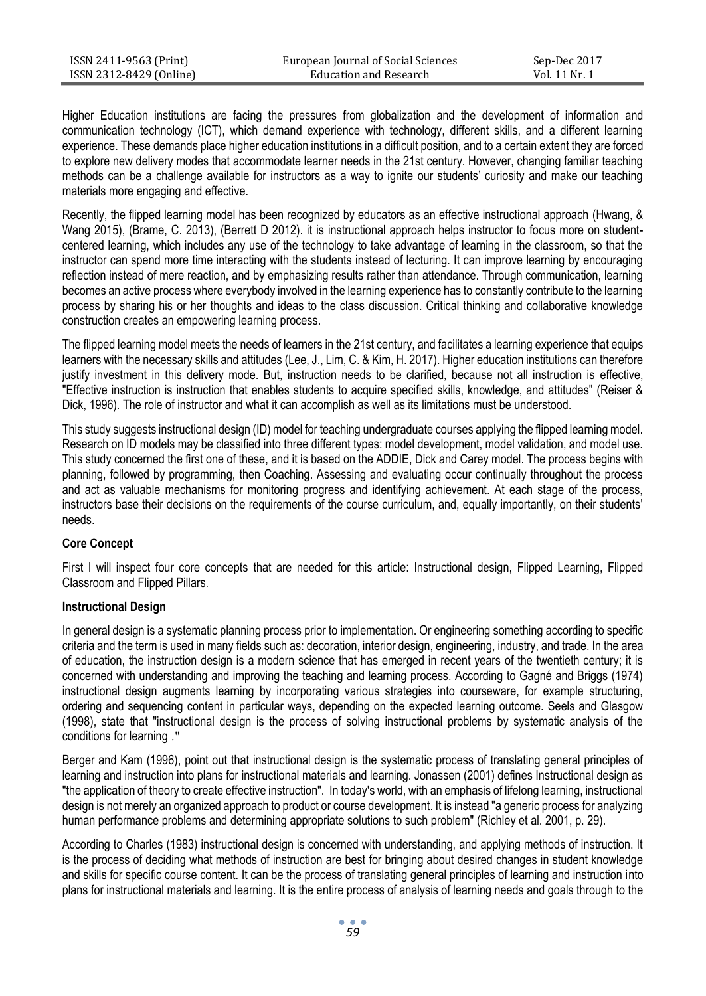| ISSN 2411-9563 (Print)  | European Journal of Social Sciences | Sep-Dec 2017  |
|-------------------------|-------------------------------------|---------------|
| ISSN 2312-8429 (Online) | Education and Research              | Vol. 11 Nr. 1 |

Higher Education institutions are facing the pressures from globalization and the development of information and communication technology (ICT), which demand experience with technology, different skills, and a different learning experience. These demands place higher education institutions in a difficult position, and to a certain extent they are forced to explore new delivery modes that accommodate learner needs in the 21st century. However, changing familiar teaching methods can be a challenge available for instructors as a way to ignite our students' curiosity and make our teaching materials more engaging and effective.

Recently, the flipped learning model has been recognized by educators as an effective instructional approach (Hwang, & Wang 2015), (Brame, C. 2013), (Berrett D 2012). it is instructional approach helps instructor to focus more on studentcentered learning, which includes any use of the technology to take advantage of learning in the classroom, so that the instructor can spend more time interacting with the students instead of lecturing. It can improve learning by encouraging reflection instead of mere reaction, and by emphasizing results rather than attendance. Through communication, learning becomes an active process where everybody involved in the learning experience has to constantly contribute to the learning process by sharing his or her thoughts and ideas to the class discussion. Critical thinking and collaborative knowledge construction creates an empowering learning process.

The flipped learning model meets the needs of learners in the 21st century, and facilitates a learning experience that equips learners with the necessary skills and attitudes (Lee, J., Lim, C. & Kim, H. 2017). Higher education institutions can therefore justify investment in this delivery mode. But, instruction needs to be clarified, because not all instruction is effective, "Effective instruction is instruction that enables students to acquire specified skills, knowledge, and attitudes" (Reiser & Dick, 1996). The role of instructor and what it can accomplish as well as its limitations must be understood.

This study suggests instructional design (ID) model for teaching undergraduate courses applying the flipped learning model. Research on ID models may be classified into three different types: model development, model validation, and model use. This study concerned the first one of these, and it is based on the ADDIE, Dick and Carey model. The process begins with planning, followed by programming, then Coaching. Assessing and evaluating occur continually throughout the process and act as valuable mechanisms for monitoring progress and identifying achievement. At each stage of the process, instructors base their decisions on the requirements of the course curriculum, and, equally importantly, on their students' needs.

## **Core Concept**

First I will inspect four core concepts that are needed for this article: Instructional design, Flipped Learning, Flipped Classroom and Flipped Pillars.

#### **Instructional Design**

In general design is a systematic planning process prior to implementation. Or engineering something according to specific criteria and the term is used in many fields such as: decoration, interior design, engineering, industry, and trade. In the area of education, the instruction design is a modern science that has emerged in recent years of the twentieth century; it is concerned with understanding and improving the teaching and learning process. According to Gagné and Briggs (1974) instructional design augments learning by incorporating various strategies into courseware, for example structuring, ordering and sequencing content in particular ways, depending on the expected learning outcome. Seels and Glasgow (1998), state that "instructional design is the process of solving instructional problems by systematic analysis of the conditions for learning ."

Berger and Kam (1996), point out that instructional design is the systematic process of translating general principles of learning and instruction into plans for instructional materials and learning. Jonassen (2001) defines Instructional design as "the application of theory to create effective instruction". In today's world, with an emphasis of lifelong learning, instructional design is not merely an organized approach to product or course development. It is instead "a generic process for analyzing human performance problems and determining appropriate solutions to such problem" (Richley et al. 2001, p. 29).

According to Charles (1983) instructional design is concerned with understanding, and applying methods of instruction. It is the process of deciding what methods of instruction are best for bringing about desired changes in student knowledge and skills for specific course content. It can be the process of translating general principles of learning and instruction into plans for instructional materials and learning. It is the entire process of analysis of learning needs and goals through to the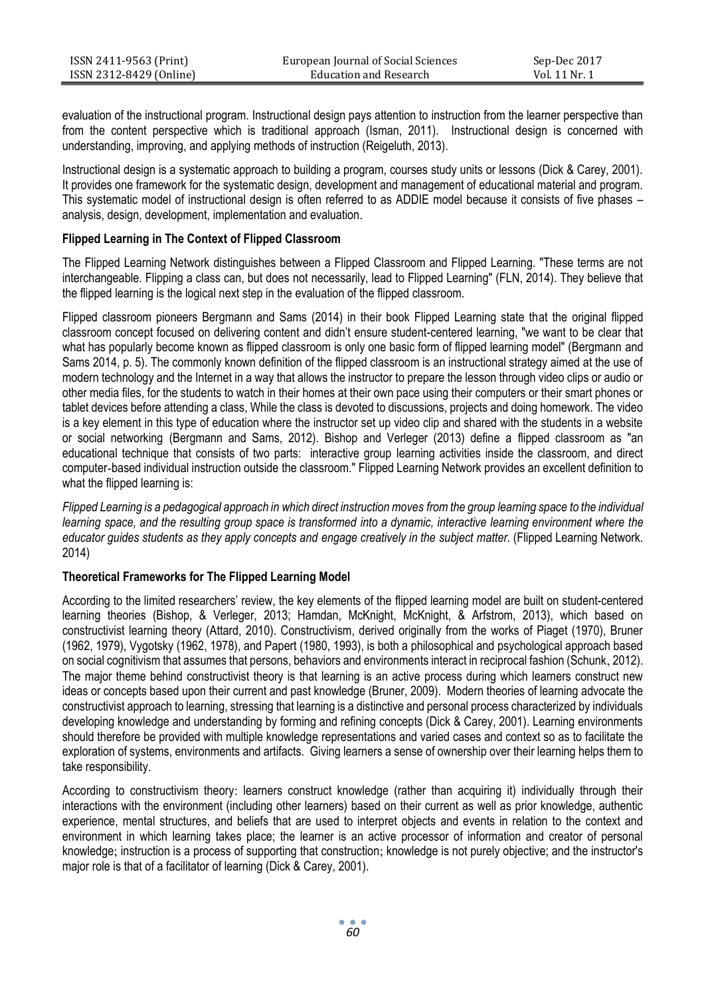| ISSN 2411-9563 (Print)  | European Journal of Social Sciences | Sep-Dec 2017  |
|-------------------------|-------------------------------------|---------------|
| ISSN 2312-8429 (Online) | Education and Research              | Vol. 11 Nr. 1 |

evaluation of the instructional program. Instructional design pays attention to instruction from the learner perspective than from the content perspective which is traditional approach (Isman, 2011). Instructional design is concerned with understanding, improving, and applying methods of instruction (Reigeluth, 2013).

Instructional design is a systematic approach to building a program, courses study units or lessons (Dick & Carey, 2001). It provides one framework for the systematic design, development and management of educational material and program. This systematic model of instructional design is often referred to as ADDIE model because it consists of five phases – analysis, design, development, implementation and evaluation.

## **Flipped Learning in The Context of Flipped Classroom**

The Flipped Learning Network distinguishes between a Flipped Classroom and Flipped Learning. "These terms are not interchangeable. Flipping a class can, but does not necessarily, lead to Flipped Learning" (FLN, 2014). They believe that the flipped learning is the logical next step in the evaluation of the flipped classroom.

Flipped classroom pioneers Bergmann and Sams (2014) in their book Flipped Learning state that the original flipped classroom concept focused on delivering content and didn't ensure student-centered learning, "we want to be clear that what has popularly become known as flipped classroom is only one basic form of flipped learning model" (Bergmann and Sams 2014, p. 5). The commonly known definition of the flipped classroom is an instructional strategy aimed at the use of modern technology and the Internet in a way that allows the instructor to prepare the lesson through video clips or audio or other media files, for the students to watch in their homes at their own pace using their computers or their smart phones or tablet devices before attending a class, While the class is devoted to discussions, projects and doing homework. The video is a key element in this type of education where the instructor set up video clip and shared with the students in a website or social networking (Bergmann and Sams, 2012). Bishop and Verleger (2013) define a flipped classroom as "an educational technique that consists of two parts: interactive group learning activities inside the classroom, and direct computer-based individual instruction outside the classroom." Flipped Learning Network provides an excellent definition to what the flipped learning is:

*Flipped Learning is a pedagogical approach in which direct instruction moves from the group learning space to the individual learning space, and the resulting group space is transformed into a dynamic, interactive learning environment where the educator guides students as they apply concepts and engage creatively in the subject matter.* (Flipped Learning Network. 2014)

#### **Theoretical Frameworks for The Flipped Learning Model**

According to the limited researchers' review, the key elements of the flipped learning model are built on student-centered learning theories (Bishop, & Verleger, 2013; Hamdan, McKnight, McKnight, & Arfstrom, 2013), which based on constructivist learning theory (Attard, 2010). Constructivism, derived originally from the works of Piaget (1970), Bruner (1962, 1979), Vygotsky (1962, 1978), and Papert (1980, 1993), is both a philosophical and psychological approach based on social cognitivism that assumes that persons, behaviors and environments interact in reciprocal fashion (Schunk, 2012). The major theme behind constructivist theory is that learning is an active process during which learners construct new ideas or concepts based upon their current and past knowledge (Bruner, 2009). Modern theories of learning advocate the constructivist approach to learning, stressing that learning is a distinctive and personal process characterized by individuals developing knowledge and understanding by forming and refining concepts (Dick & Carey, 2001). Learning environments should therefore be provided with multiple knowledge representations and varied cases and context so as to facilitate the exploration of systems, environments and artifacts. Giving learners a sense of ownership over their learning helps them to take responsibility.

According to constructivism theory: learners construct knowledge (rather than acquiring it) individually through their interactions with the environment (including other learners) based on their current as well as prior knowledge, authentic experience, mental structures, and beliefs that are used to interpret objects and events in relation to the context and environment in which learning takes place; the learner is an active processor of information and creator of personal knowledge; instruction is a process of supporting that construction; knowledge is not purely objective; and the instructor's major role is that of a facilitator of learning (Dick & Carey, 2001).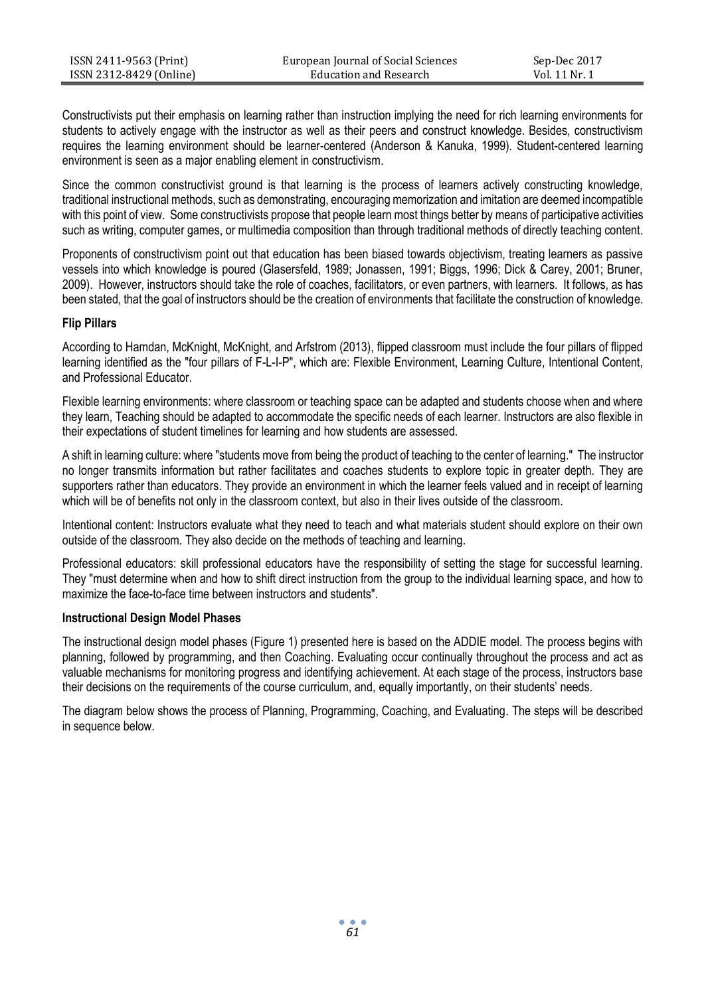| ISSN 2411-9563 (Print)  | European Journal of Social Sciences | Sep-Dec 2017  |
|-------------------------|-------------------------------------|---------------|
| ISSN 2312-8429 (Online) | Education and Research              | Vol. 11 Nr. 1 |

Constructivists put their emphasis on learning rather than instruction implying the need for rich learning environments for students to actively engage with the instructor as well as their peers and construct knowledge. Besides, constructivism requires the learning environment should be learner-centered (Anderson & Kanuka, 1999). Student-centered learning environment is seen as a major enabling element in constructivism.

Since the common constructivist ground is that learning is the process of learners actively constructing knowledge, traditional instructional methods, such as demonstrating, encouraging memorization and imitation are deemed incompatible with this point of view. Some constructivists propose that people learn most things better by means of participative activities such as writing, computer games, or multimedia composition than through traditional methods of directly teaching content.

Proponents of constructivism point out that education has been biased towards objectivism, treating learners as passive vessels into which knowledge is poured (Glasersfeld, 1989; Jonassen, 1991; Biggs, 1996; Dick & Carey, 2001; Bruner, 2009). However, instructors should take the role of coaches, facilitators, or even partners, with learners. It follows, as has been stated, that the goal of instructors should be the creation of environments that facilitate the construction of knowledge.

#### **Flip Pillars**

According to Hamdan, McKnight, McKnight, and Arfstrom (2013), flipped classroom must include the four pillars of flipped learning identified as the "four pillars of F-L-I-P", which are: Flexible Environment, Learning Culture, Intentional Content, and Professional Educator.

Flexible learning environments: where classroom or teaching space can be adapted and students choose when and where they learn, Teaching should be adapted to accommodate the specific needs of each learner. Instructors are also flexible in their expectations of student timelines for learning and how students are assessed.

A shift in learning culture: where "students move from being the product of teaching to the center of learning." The instructor no longer transmits information but rather facilitates and coaches students to explore topic in greater depth. They are supporters rather than educators. They provide an environment in which the learner feels valued and in receipt of learning which will be of benefits not only in the classroom context, but also in their lives outside of the classroom.

Intentional content: Instructors evaluate what they need to teach and what materials student should explore on their own outside of the classroom. They also decide on the methods of teaching and learning.

Professional educators: skill professional educators have the responsibility of setting the stage for successful learning. They "must determine when and how to shift direct instruction from the group to the individual learning space, and how to maximize the face-to-face time between instructors and students".

#### **Instructional Design Model Phases**

The instructional design model phases (Figure 1) presented here is based on the ADDIE model. The process begins with planning, followed by programming, and then Coaching. Evaluating occur continually throughout the process and act as valuable mechanisms for monitoring progress and identifying achievement. At each stage of the process, instructors base their decisions on the requirements of the course curriculum, and, equally importantly, on their students' needs.

The diagram below shows the process of Planning, Programming, Coaching, and Evaluating. The steps will be described in sequence below.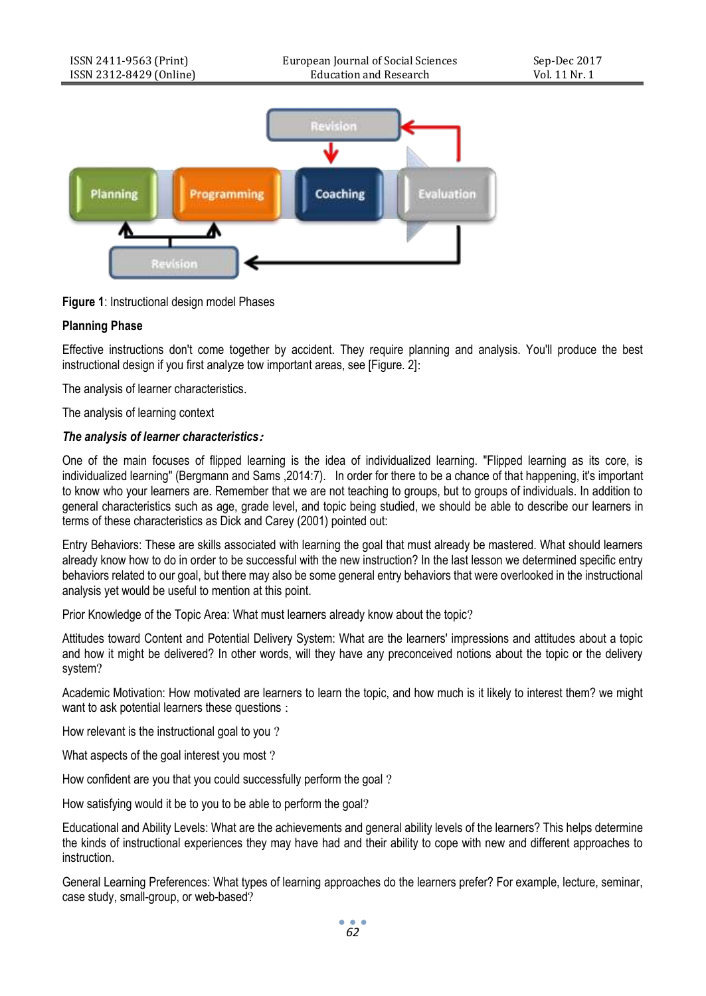

**Figure 1**: Instructional design model Phases

# **Planning Phase**

Effective instructions don't come together by accident. They require planning and analysis. You'll produce the best instructional design if you first analyze tow important areas, see [Figure. 2]:

The analysis of learner characteristics.

The analysis of learning context

## *The analysis of learner characteristics***:**

One of the main focuses of flipped learning is the idea of individualized learning. "Flipped learning as its core, is individualized learning" (Bergmann and Sams ,2014:7). In order for there to be a chance of that happening, it's important to know who your learners are. Remember that we are not teaching to groups, but to groups of individuals. In addition to general characteristics such as age, grade level, and topic being studied, we should be able to describe our learners in terms of these characteristics as Dick and Carey (2001) pointed out:

Entry Behaviors: These are skills associated with learning the goal that must already be mastered. What should learners already know how to do in order to be successful with the new instruction? In the last lesson we determined specific entry behaviors related to our goal, but there may also be some general entry behaviors that were overlooked in the instructional analysis yet would be useful to mention at this point.

Prior Knowledge of the Topic Area: What must learners already know about the topic?

Attitudes toward Content and Potential Delivery System: What are the learners' impressions and attitudes about a topic and how it might be delivered? In other words, will they have any preconceived notions about the topic or the delivery system?

Academic Motivation: How motivated are learners to learn the topic, and how much is it likely to interest them? we might want to ask potential learners these questions :

How relevant is the instructional goal to you ?

What aspects of the goal interest you most ?

How confident are you that you could successfully perform the goal ?

How satisfying would it be to you to be able to perform the goal?

Educational and Ability Levels: What are the achievements and general ability levels of the learners? This helps determine the kinds of instructional experiences they may have had and their ability to cope with new and different approaches to instruction.

General Learning Preferences: What types of learning approaches do the learners prefer? For example, lecture, seminar, case study, small-group, or web-based?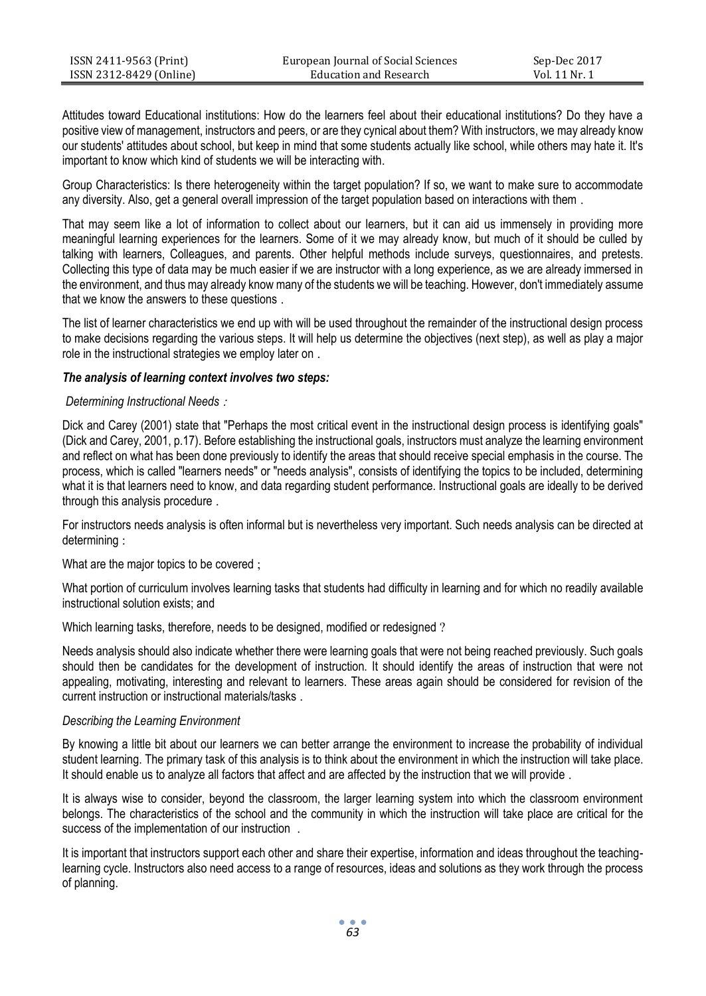| ISSN 2411-9563 (Print)  | European Journal of Social Sciences | Sep-Dec 2017  |
|-------------------------|-------------------------------------|---------------|
| ISSN 2312-8429 (Online) | Education and Research              | Vol. 11 Nr. 1 |

Attitudes toward Educational institutions: How do the learners feel about their educational institutions? Do they have a positive view of management, instructors and peers, or are they cynical about them? With instructors, we may already know our students' attitudes about school, but keep in mind that some students actually like school, while others may hate it. It's important to know which kind of students we will be interacting with.

Group Characteristics: Is there heterogeneity within the target population? If so, we want to make sure to accommodate any diversity. Also, get a general overall impression of the target population based on interactions with them .

That may seem like a lot of information to collect about our learners, but it can aid us immensely in providing more meaningful learning experiences for the learners. Some of it we may already know, but much of it should be culled by talking with learners, Colleagues, and parents. Other helpful methods include surveys, questionnaires, and pretests. Collecting this type of data may be much easier if we are instructor with a long experience, as we are already immersed in the environment, and thus may already know many of the students we will be teaching. However, don't immediately assume that we know the answers to these questions .

The list of learner characteristics we end up with will be used throughout the remainder of the instructional design process to make decisions regarding the various steps. It will help us determine the objectives (next step), as well as play a major role in the instructional strategies we employ later on .

#### *The analysis of learning context involves two steps:*

#### *Determining Instructional Needs* :

Dick and Carey (2001) state that "Perhaps the most critical event in the instructional design process is identifying goals" (Dick and Carey, 2001, p.17). Before establishing the instructional goals, instructors must analyze the learning environment and reflect on what has been done previously to identify the areas that should receive special emphasis in the course. The process, which is called "learners needs" or "needs analysis", consists of identifying the topics to be included, determining what it is that learners need to know, and data regarding student performance. Instructional goals are ideally to be derived through this analysis procedure .

For instructors needs analysis is often informal but is nevertheless very important. Such needs analysis can be directed at determining :

What are the major topics to be covered ;

What portion of curriculum involves learning tasks that students had difficulty in learning and for which no readily available instructional solution exists; and

Which learning tasks, therefore, needs to be designed, modified or redesigned ?

Needs analysis should also indicate whether there were learning goals that were not being reached previously. Such goals should then be candidates for the development of instruction. It should identify the areas of instruction that were not appealing, motivating, interesting and relevant to learners. These areas again should be considered for revision of the current instruction or instructional materials/tasks .

#### *Describing the Learning Environment*

By knowing a little bit about our learners we can better arrange the environment to increase the probability of individual student learning. The primary task of this analysis is to think about the environment in which the instruction will take place. It should enable us to analyze all factors that affect and are affected by the instruction that we will provide .

It is always wise to consider, beyond the classroom, the larger learning system into which the classroom environment belongs. The characteristics of the school and the community in which the instruction will take place are critical for the success of the implementation of our instruction .

It is important that instructors support each other and share their expertise, information and ideas throughout the teachinglearning cycle. Instructors also need access to a range of resources, ideas and solutions as they work through the process of planning.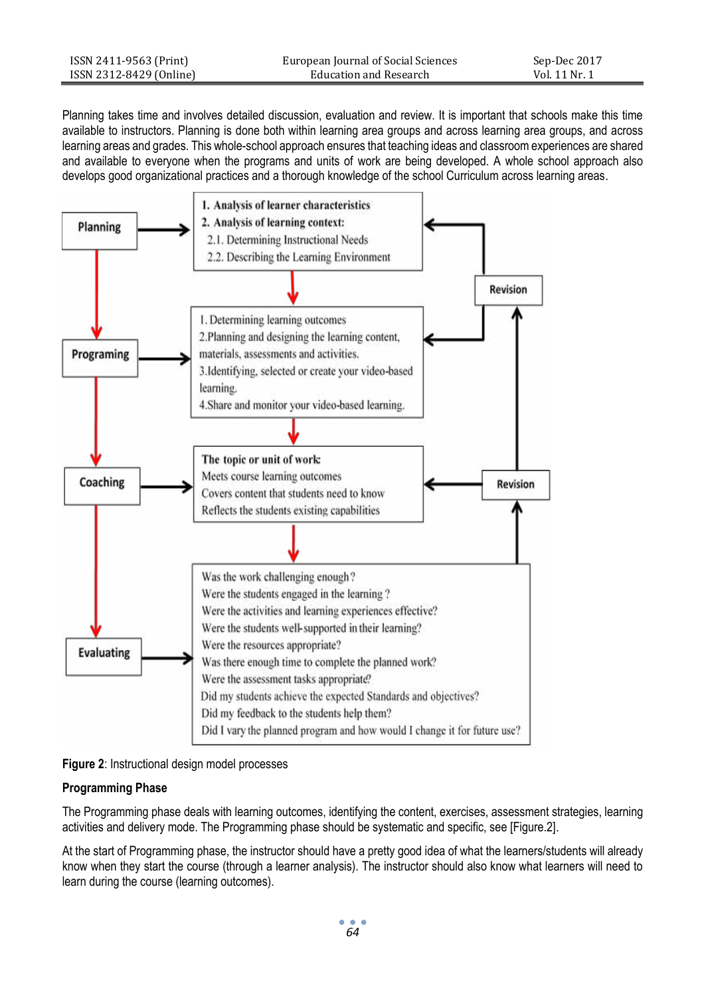| ISSN 2411-9563 (Print)  | European Journal of Social Sciences | Sep-Dec 2017  |
|-------------------------|-------------------------------------|---------------|
| ISSN 2312-8429 (Online) | Education and Research              | Vol. 11 Nr. 1 |

Planning takes time and involves detailed discussion, evaluation and review. It is important that schools make this time available to instructors. Planning is done both within learning area groups and across learning area groups, and across learning areas and grades. This whole-school approach ensures that teaching ideas and classroom experiences are shared and available to everyone when the programs and units of work are being developed. A whole school approach also develops good organizational practices and a thorough knowledge of the school Curriculum across learning areas.





#### **Programming Phase**

The Programming phase deals with learning outcomes, identifying the content, exercises, assessment strategies, learning activities and delivery mode. The Programming phase should be systematic and specific, see [Figure.2].

At the start of Programming phase, the instructor should have a pretty good idea of what the learners/students will already know when they start the course (through a learner analysis). The instructor should also know what learners will need to learn during the course (learning outcomes).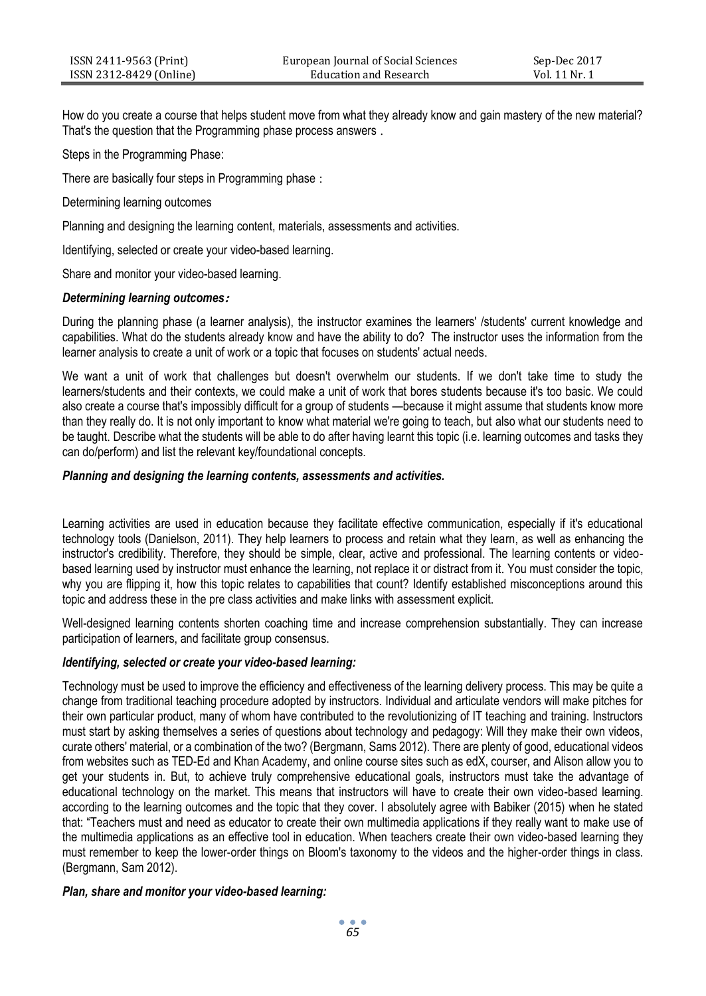How do you create a course that helps student move from what they already know and gain mastery of the new material? That's the question that the Programming phase process answers .

Steps in the Programming Phase:

There are basically four steps in Programming phase :

Determining learning outcomes

Planning and designing the learning content, materials, assessments and activities.

Identifying, selected or create your video-based learning.

Share and monitor your video-based learning.

## *Determining learning outcomes***:**

During the planning phase (a learner analysis), the instructor examines the learners' /students' current knowledge and capabilities. What do the students already know and have the ability to do? The instructor uses the information from the learner analysis to create a unit of work or a topic that focuses on students' actual needs.

We want a unit of work that challenges but doesn't overwhelm our students. If we don't take time to study the learners/students and their contexts, we could make a unit of work that bores students because it's too basic. We could also create a course that's impossibly difficult for a group of students —because it might assume that students know more than they really do. It is not only important to know what material we're going to teach, but also what our students need to be taught. Describe what the students will be able to do after having learnt this topic (i.e. learning outcomes and tasks they can do/perform) and list the relevant key/foundational concepts.

## *Planning and designing the learning contents, assessments and activities.*

Learning activities are used in education because they facilitate effective communication, especially if it's educational technology tools (Danielson, 2011). They help learners to process and retain what they learn, as well as enhancing the instructor's credibility. Therefore, they should be simple, clear, active and professional. The learning contents or videobased learning used by instructor must enhance the learning, not replace it or distract from it. You must consider the topic, why you are flipping it, how this topic relates to capabilities that count? Identify established misconceptions around this topic and address these in the pre class activities and make links with assessment explicit.

Well-designed learning contents shorten coaching time and increase comprehension substantially. They can increase participation of learners, and facilitate group consensus.

## *Identifying, selected or create your video-based learning:*

Technology must be used to improve the efficiency and effectiveness of the learning delivery process. This may be quite a change from traditional teaching procedure adopted by instructors. Individual and articulate vendors will make pitches for their own particular product, many of whom have contributed to the revolutionizing of IT teaching and training. Instructors must start by asking themselves a series of questions about technology and pedagogy: Will they make their own videos, curate others' material, or a combination of the two? (Bergmann, Sams 2012). There are plenty of good, educational videos from websites such as TED-Ed and Khan Academy, and online course sites such as edX, courser, and Alison allow you to get your students in. But, to achieve truly comprehensive educational goals, instructors must take the advantage of educational technology on the market. This means that instructors will have to create their own video-based learning. according to the learning outcomes and the topic that they cover. I absolutely agree with Babiker (2015) when he stated that: "Teachers must and need as educator to create their own multimedia applications if they really want to make use of the multimedia applications as an effective tool in education. When teachers create their own video-based learning they must remember to keep the lower-order things on Bloom's taxonomy to the videos and the higher-order things in class. (Bergmann, Sam 2012).

## *Plan, share and monitor your video-based learning:*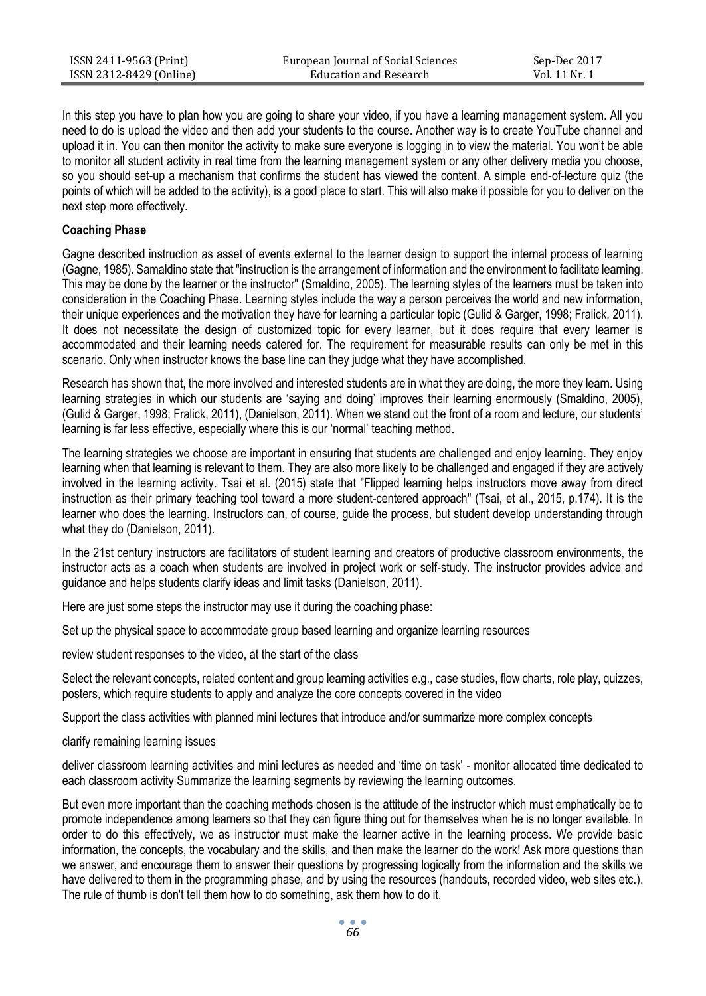| ISSN 2411-9563 (Print)  | European Journal of Social Sciences | Sep-Dec 2017  |
|-------------------------|-------------------------------------|---------------|
| ISSN 2312-8429 (Online) | Education and Research              | Vol. 11 Nr. 1 |

In this step you have to plan how you are going to share your video, if you have a learning management system. All you need to do is upload the video and then add your students to the course. Another way is to create YouTube channel and upload it in. You can then monitor the activity to make sure everyone is logging in to view the material. You won't be able to monitor all student activity in real time from the learning management system or any other delivery media you choose, so you should set-up a mechanism that confirms the student has viewed the content. A simple end-of-lecture quiz (the points of which will be added to the activity), is a good place to start. This will also make it possible for you to deliver on the next step more effectively.

#### **Coaching Phase**

Gagne described instruction as asset of events external to the learner design to support the internal process of learning (Gagne, 1985). Samaldino state that "instruction is the arrangement of information and the environment to facilitate learning. This may be done by the learner or the instructor" (Smaldino, 2005). The learning styles of the learners must be taken into consideration in the Coaching Phase. Learning styles include the way a person perceives the world and new information, their unique experiences and the motivation they have for learning a particular topic (Gulid & Garger, 1998; Fralick, 2011). It does not necessitate the design of customized topic for every learner, but it does require that every learner is accommodated and their learning needs catered for. The requirement for measurable results can only be met in this scenario. Only when instructor knows the base line can they judge what they have accomplished.

Research has shown that, the more involved and interested students are in what they are doing, the more they learn. Using learning strategies in which our students are 'saying and doing' improves their learning enormously (Smaldino, 2005), (Gulid & Garger, 1998; Fralick, 2011), (Danielson, 2011). When we stand out the front of a room and lecture, our students' learning is far less effective, especially where this is our 'normal' teaching method.

The learning strategies we choose are important in ensuring that students are challenged and enjoy learning. They enjoy learning when that learning is relevant to them. They are also more likely to be challenged and engaged if they are actively involved in the learning activity. Tsai et al. (2015) state that "Flipped learning helps instructors move away from direct instruction as their primary teaching tool toward a more student-centered approach" (Tsai, et al., 2015, p.174). It is the learner who does the learning. Instructors can, of course, guide the process, but student develop understanding through what they do (Danielson, 2011).

In the 21st century instructors are facilitators of student learning and creators of productive classroom environments, the instructor acts as a coach when students are involved in project work or self-study. The instructor provides advice and guidance and helps students clarify ideas and limit tasks (Danielson, 2011).

Here are just some steps the instructor may use it during the coaching phase:

Set up the physical space to accommodate group based learning and organize learning resources

review student responses to the video, at the start of the class

Select the relevant concepts, related content and group learning activities e.g., case studies, flow charts, role play, quizzes, posters, which require students to apply and analyze the core concepts covered in the video

Support the class activities with planned mini lectures that introduce and/or summarize more complex concepts

clarify remaining learning issues

deliver classroom learning activities and mini lectures as needed and 'time on task' - monitor allocated time dedicated to each classroom activity Summarize the learning segments by reviewing the learning outcomes.

But even more important than the coaching methods chosen is the attitude of the instructor which must emphatically be to promote independence among learners so that they can figure thing out for themselves when he is no longer available. In order to do this effectively, we as instructor must make the learner active in the learning process. We provide basic information, the concepts, the vocabulary and the skills, and then make the learner do the work! Ask more questions than we answer, and encourage them to answer their questions by progressing logically from the information and the skills we have delivered to them in the programming phase, and by using the resources (handouts, recorded video, web sites etc.). The rule of thumb is don't tell them how to do something, ask them how to do it.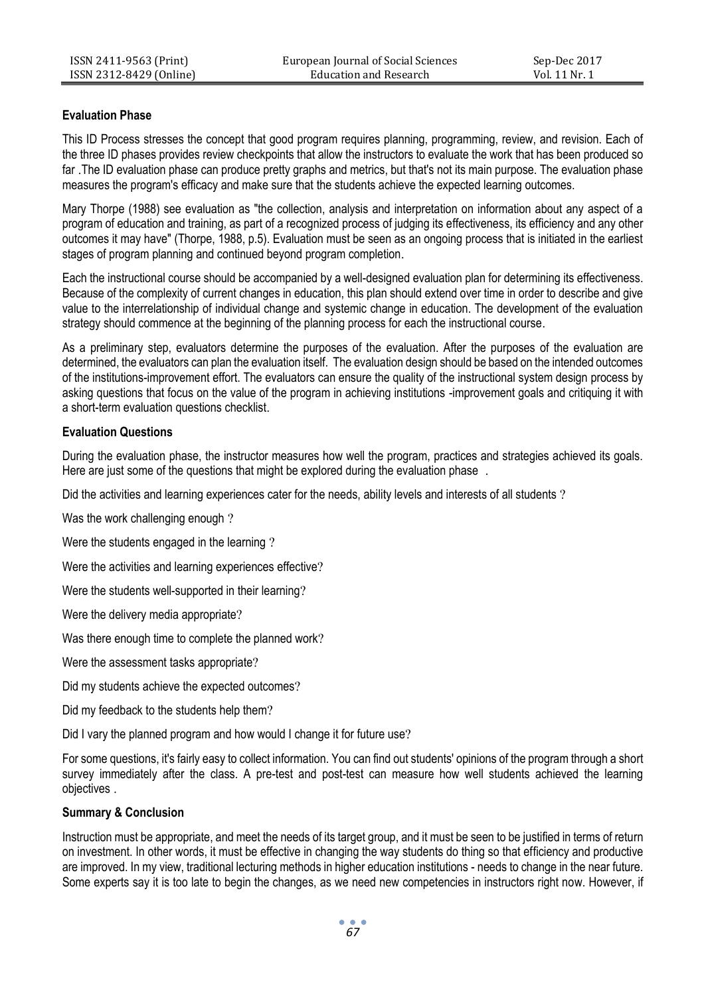## **Evaluation Phase**

This ID Process stresses the concept that good program requires planning, programming, review, and revision. Each of the three ID phases provides review checkpoints that allow the instructors to evaluate the work that has been produced so far .The ID evaluation phase can produce pretty graphs and metrics, but that's not its main purpose. The evaluation phase measures the program's efficacy and make sure that the students achieve the expected learning outcomes.

Mary Thorpe (1988) see evaluation as "the collection, analysis and interpretation on information about any aspect of a program of education and training, as part of a recognized process of judging its effectiveness, its efficiency and any other outcomes it may have" (Thorpe, 1988, p.5). Evaluation must be seen as an ongoing process that is initiated in the earliest stages of program planning and continued beyond program completion.

Each the instructional course should be accompanied by a well-designed evaluation plan for determining its effectiveness. Because of the complexity of current changes in education, this plan should extend over time in order to describe and give value to the interrelationship of individual change and systemic change in education. The development of the evaluation strategy should commence at the beginning of the planning process for each the instructional course.

As a preliminary step, evaluators determine the purposes of the evaluation. After the purposes of the evaluation are determined, the evaluators can plan the evaluation itself. The evaluation design should be based on the intended outcomes of the institutions-improvement effort. The evaluators can ensure the quality of the instructional system design process by asking questions that focus on the value of the program in achieving institutions -improvement goals and critiquing it with a short-term evaluation questions checklist.

## **Evaluation Questions**

During the evaluation phase, the instructor measures how well the program, practices and strategies achieved its goals. Here are just some of the questions that might be explored during the evaluation phase.

Did the activities and learning experiences cater for the needs, ability levels and interests of all students ?

Was the work challenging enough ?

Were the students engaged in the learning ?

Were the activities and learning experiences effective?

Were the students well-supported in their learning?

Were the delivery media appropriate?

Was there enough time to complete the planned work?

Were the assessment tasks appropriate?

Did my students achieve the expected outcomes?

Did my feedback to the students help them?

Did I vary the planned program and how would I change it for future use?

For some questions, it's fairly easy to collect information. You can find out students' opinions of the program through a short survey immediately after the class. A pre-test and post-test can measure how well students achieved the learning objectives .

## **Summary & Conclusion**

Instruction must be appropriate, and meet the needs of its target group, and it must be seen to be justified in terms of return on investment. In other words, it must be effective in changing the way students do thing so that efficiency and productive are improved. In my view, traditional lecturing methods in higher education institutions - needs to change in the near future. Some experts say it is too late to begin the changes, as we need new competencies in instructors right now. However, if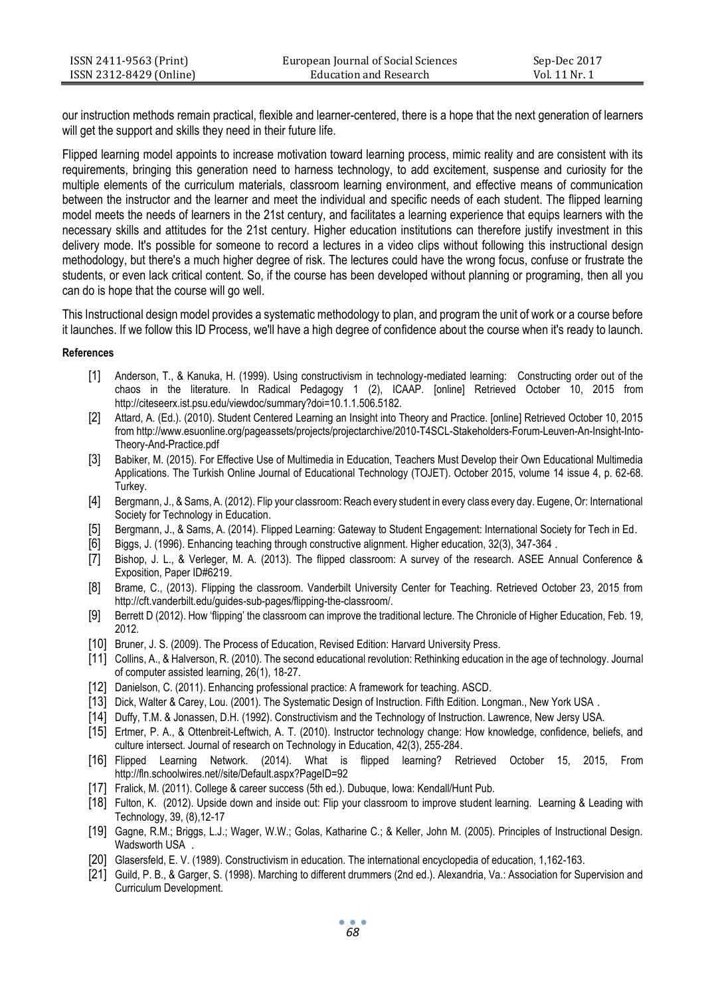| ISSN 2411-9563 (Print)  | European Journal of Social Sciences | Sep-Dec 2017  |
|-------------------------|-------------------------------------|---------------|
| ISSN 2312-8429 (Online) | Education and Research              | Vol. 11 Nr. 1 |

our instruction methods remain practical, flexible and learner-centered, there is a hope that the next generation of learners will get the support and skills they need in their future life.

Flipped learning model appoints to increase motivation toward learning process, mimic reality and are consistent with its requirements, bringing this generation need to harness technology, to add excitement, suspense and curiosity for the multiple elements of the curriculum materials, classroom learning environment, and effective means of communication between the instructor and the learner and meet the individual and specific needs of each student. The flipped learning model meets the needs of learners in the 21st century, and facilitates a learning experience that equips learners with the necessary skills and attitudes for the 21st century. Higher education institutions can therefore justify investment in this delivery mode. It's possible for someone to record a lectures in a video clips without following this instructional design methodology, but there's a much higher degree of risk. The lectures could have the wrong focus, confuse or frustrate the students, or even lack critical content. So, if the course has been developed without planning or programing, then all you can do is hope that the course will go well.

This Instructional design model provides a systematic methodology to plan, and program the unit of work or a course before it launches. If we follow this ID Process, we'll have a high degree of confidence about the course when it's ready to launch.

#### **References**

- [1] Anderson, T., & Kanuka, H. (1999). Using constructivism in technology-mediated learning: Constructing order out of the chaos in the literature. In Radical Pedagogy 1 (2), ICAAP. [online] Retrieved October 10, 2015 from http://citeseerx.ist.psu.edu/viewdoc/summary?doi=10.1.1.506.5182.
- [2] Attard, A. (Ed.). (2010). Student Centered Learning an Insight into Theory and Practice. [online] Retrieved October 10, 2015 from http://www.esuonline.org/pageassets/projects/projectarchive/2010-T4SCL-Stakeholders-Forum-Leuven-An-Insight-Into-Theory-And-Practice.pdf
- [3] Babiker, M. (2015). For Effective Use of Multimedia in Education, Teachers Must Develop their Own Educational Multimedia Applications. The Turkish Online Journal of Educational Technology (TOJET). October 2015, volume 14 issue 4, p. 62-68. Turkey.
- [4] Bergmann, J., & Sams, A. (2012). Flip your classroom: Reach every student in every class every day. Eugene, Or: International Society for Technology in Education.
- [5] Bergmann, J., & Sams, A. (2014). Flipped Learning: Gateway to Student Engagement: International Society for Tech in Ed.
- [6] Biggs, J. (1996). Enhancing teaching through constructive alignment. Higher education, 32(3), 347-364 .
- [7] Bishop, J. L., & Verleger, M. A. (2013). The flipped classroom: A survey of the research. ASEE Annual Conference & Exposition, Paper ID#6219.
- [8] Brame, C., (2013). Flipping the classroom. Vanderbilt University Center for Teaching. Retrieved October 23, 2015 from http://cft.vanderbilt.edu/guides-sub-pages/flipping-the-classroom/.
- [9] Berrett D (2012). How 'flipping' the classroom can improve the traditional lecture. The Chronicle of Higher Education, Feb. 19, 2012.
- [10] Bruner, J. S. (2009). The Process of Education, Revised Edition: Harvard University Press.
- [11] Collins, A., & Halverson, R. (2010). The second educational revolution: Rethinking education in the age of technology. Journal of computer assisted learning, 26(1), 18-27.
- [12] Danielson, C. (2011). Enhancing professional practice: A framework for teaching. ASCD.
- [13] Dick, Walter & Carey, Lou. (2001). The Systematic Design of Instruction. Fifth Edition. Longman., New York USA .
- [14] Duffy, T.M. & Jonassen, D.H. (1992). Constructivism and the Technology of Instruction. Lawrence, New Jersy USA.
- [15] Ertmer, P. A., & Ottenbreit-Leftwich, A. T. (2010). Instructor technology change: How knowledge, confidence, beliefs, and culture intersect. Journal of research on Technology in Education, 42(3), 255-284.
- [16] Flipped Learning Network. (2014). What is flipped learning? Retrieved October 15, 2015, From http://fln.schoolwires.net//site/Default.aspx?PageID=92
- [17] Fralick, M. (2011). College & career success (5th ed.). Dubuque, Iowa: Kendall/Hunt Pub.
- [18] Fulton, K. (2012). Upside down and inside out: Flip your classroom to improve student learning. Learning & Leading with Technology, 39, (8),12-17
- [19] Gagne, R.M.; Briggs, L.J.; Wager, W.W.; Golas, Katharine C.; & Keller, John M. (2005). Principles of Instructional Design. Wadsworth USA .
- [20] Glasersfeld, E. V. (1989). Constructivism in education. The international encyclopedia of education, 1,162-163.
- [21] Guild, P. B., & Garger, S. (1998). Marching to different drummers (2nd ed.). Alexandria, Va.: Association for Supervision and Curriculum Development.